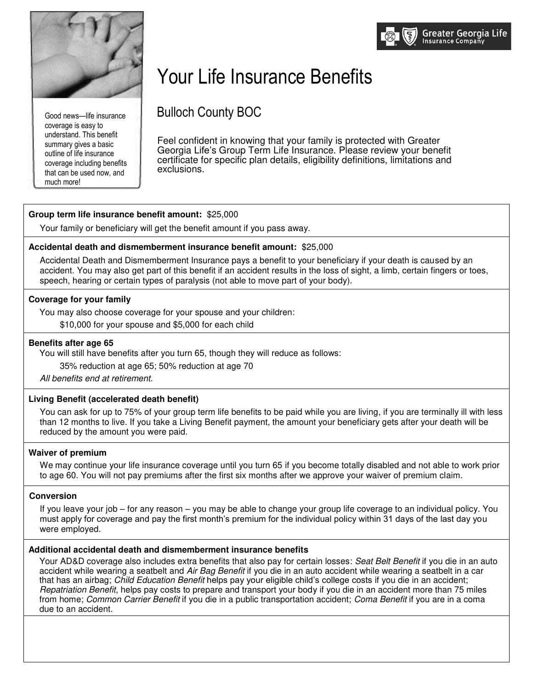

Good news—life insurance coverage is easy to understand. This benefit summary gives a basic outline of life insurance coverage including benefits that can be used now, and much more!

# Your Life Insurance Benefits

Bulloch County BOC

Feel confident in knowing that your family is protected with Greater Georgia Life's Group Term Life Insurance. Please review your benefit certificate for specific plan details, eligibility definitions, limitations and exclusions.

# **Group term life insurance benefit amount:** \$25,000

Your family or beneficiary will get the benefit amount if you pass away.

# **Accidental death and dismemberment insurance benefit amount:** \$25,000

Accidental Death and Dismemberment Insurance pays a benefit to your beneficiary if your death is caused by an accident. You may also get part of this benefit if an accident results in the loss of sight, a limb, certain fingers or toes, speech, hearing or certain types of paralysis (not able to move part of your body).

# **Coverage for your family**

You may also choose coverage for your spouse and your children:

\$10,000 for your spouse and \$5,000 for each child

### **Benefits after age 65**

You will still have benefits after you turn 65, though they will reduce as follows:

35% reduction at age 65; 50% reduction at age 70

*All benefits end at retirement.*

## **Living Benefit (accelerated death benefit)**

You can ask for up to 75% of your group term life benefits to be paid while you are living, if you are terminally ill with less than 12 months to live. If you take a Living Benefit payment, the amount your beneficiary gets after your death will be reduced by the amount you were paid.

## **Waiver of premium**

We may continue your life insurance coverage until you turn 65 if you become totally disabled and not able to work prior to age 60. You will not pay premiums after the first six months after we approve your waiver of premium claim.

#### **Conversion**

If you leave your job – for any reason – you may be able to change your group life coverage to an individual policy. You must apply for coverage and pay the first month's premium for the individual policy within 31 days of the last day you were employed.

## **Additional accidental death and dismemberment insurance benefits**

Your AD&D coverage also includes extra benefits that also pay for certain losses: *Seat Belt Benefit* if you die in an auto accident while wearing a seatbelt and *Air Bag Benefit* if you die in an auto accident while wearing a seatbelt in a car that has an airbag; *Child Education Benefit* helps pay your eligible child's college costs if you die in an accident; *Repatriation Benefit*, helps pay costs to prepare and transport your body if you die in an accident more than 75 miles from home; *Common Carrier Benefit* if you die in a public transportation accident; *Coma Benefit* if you are in a coma due to an accident.